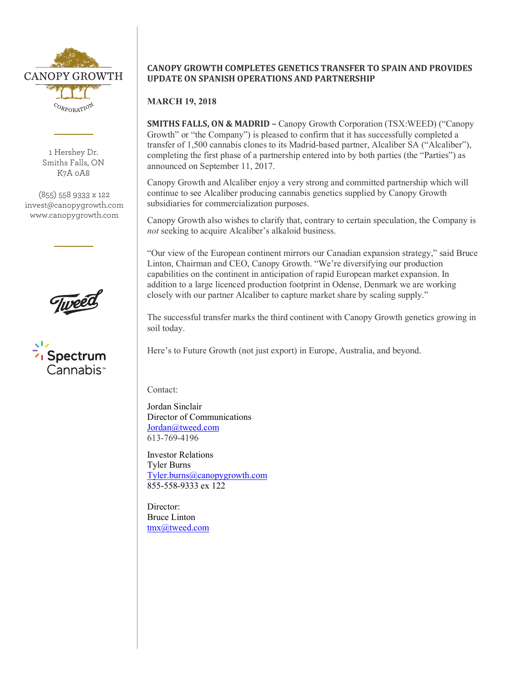

1 Hershey Dr. Smiths Falls, ON K7A 0A8

(855) 558 9333 x 122 invest@canopygrowth.com www.canopygrowth.com

 $\frac{1}{2}$ 



## **CANOPY GROWTH COMPLETES GENETICS TRANSFER TO SPAIN AND PROVIDES UPDATE ON SPANISH OPERATIONS AND PARTNERSHIP**

## **MARCH 19, 2018**

**SMITHS FALLS, ON & MADRID –** Canopy Growth Corporation (TSX:WEED) ("Canopy" Growth" or "the Company") is pleased to confirm that it has successfully completed a transfer of 1,500 cannabis clones to its Madrid-based partner, Alcaliber SA ("Alcaliber"), completing the first phase of a partnership entered into by both parties (the "Parties") as announced on September 11, 2017.

Canopy Growth and Alcaliber enjoy a very strong and committed partnership which will continue to see Alcaliber producing cannabis genetics supplied by Canopy Growth subsidiaries for commercialization purposes.

Canopy Growth also wishes to clarify that, contrary to certain speculation, the Company is *not* seeking to acquire Alcaliber's alkaloid business.

"Our view of the European continent mirrors our Canadian expansion strategy," said Bruce Linton, Chairman and CEO, Canopy Growth. "We're diversifying our production capabilities on the continent in anticipation of rapid European market expansion. In addition to a large licenced production footprint in Odense, Denmark we are working closely with our partner Alcaliber to capture market share by scaling supply."

The successful transfer marks the third continent with Canopy Growth genetics growing in soil today.

Here's to Future Growth (not just export) in Europe, Australia, and beyond.

Contact:

Jordan Sinclair Director of Communications Jordan@tweed.com 613-769-4196

Investor Relations Tyler Burns Tyler.burns@canopygrowth.com 855-558-9333 ex 122

Director: Bruce Linton tmx@tweed.com